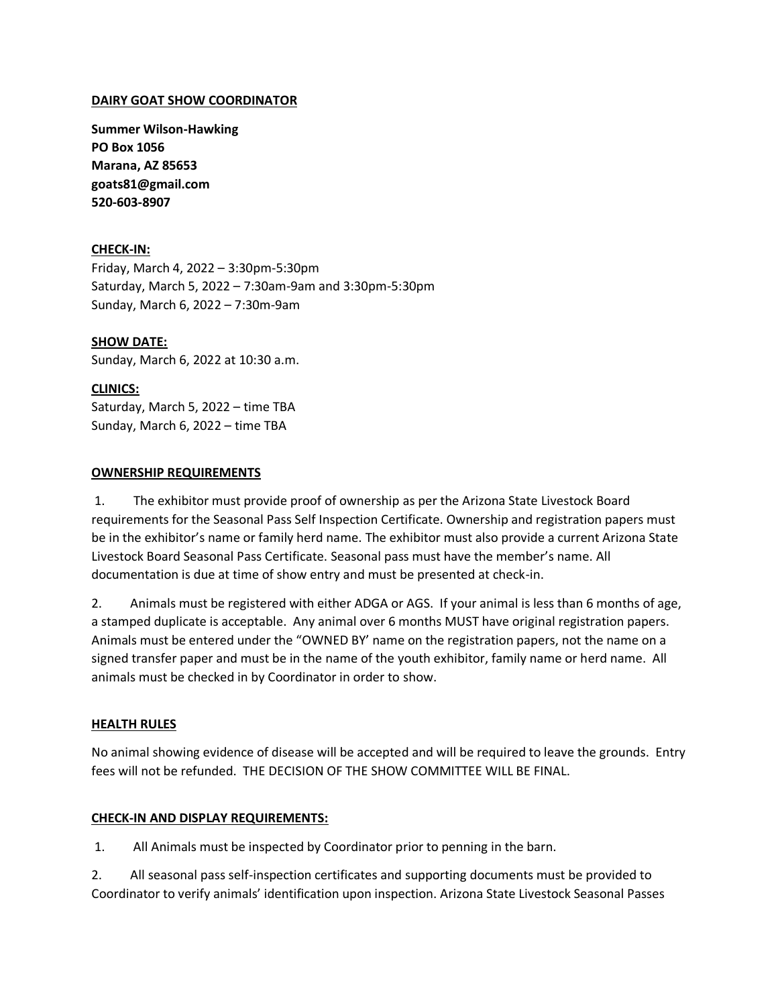### **DAIRY GOAT SHOW COORDINATOR**

**Summer Wilson-Hawking PO Box 1056 Marana, AZ 85653 goats81@gmail.com 520-603-8907**

### **CHECK-IN:**

Friday, March 4, 2022 – 3:30pm-5:30pm Saturday, March 5, 2022 – 7:30am-9am and 3:30pm-5:30pm Sunday, March 6, 2022 – 7:30m-9am

**SHOW DATE:**  Sunday, March 6, 2022 at 10:30 a.m.

### **CLINICS:**

Saturday, March 5, 2022 – time TBA Sunday, March 6, 2022 – time TBA

### **OWNERSHIP REQUIREMENTS**

1. The exhibitor must provide proof of ownership as per the Arizona State Livestock Board requirements for the Seasonal Pass Self Inspection Certificate. Ownership and registration papers must be in the exhibitor's name or family herd name. The exhibitor must also provide a current Arizona State Livestock Board Seasonal Pass Certificate. Seasonal pass must have the member's name. All documentation is due at time of show entry and must be presented at check-in.

2. Animals must be registered with either ADGA or AGS. If your animal is less than 6 months of age, a stamped duplicate is acceptable. Any animal over 6 months MUST have original registration papers. Animals must be entered under the "OWNED BY' name on the registration papers, not the name on a signed transfer paper and must be in the name of the youth exhibitor, family name or herd name. All animals must be checked in by Coordinator in order to show.

### **HEALTH RULES**

No animal showing evidence of disease will be accepted and will be required to leave the grounds. Entry fees will not be refunded. THE DECISION OF THE SHOW COMMITTEE WILL BE FINAL.

### **CHECK-IN AND DISPLAY REQUIREMENTS:**

1. All Animals must be inspected by Coordinator prior to penning in the barn.

2. All seasonal pass self-inspection certificates and supporting documents must be provided to Coordinator to verify animals' identification upon inspection. Arizona State Livestock Seasonal Passes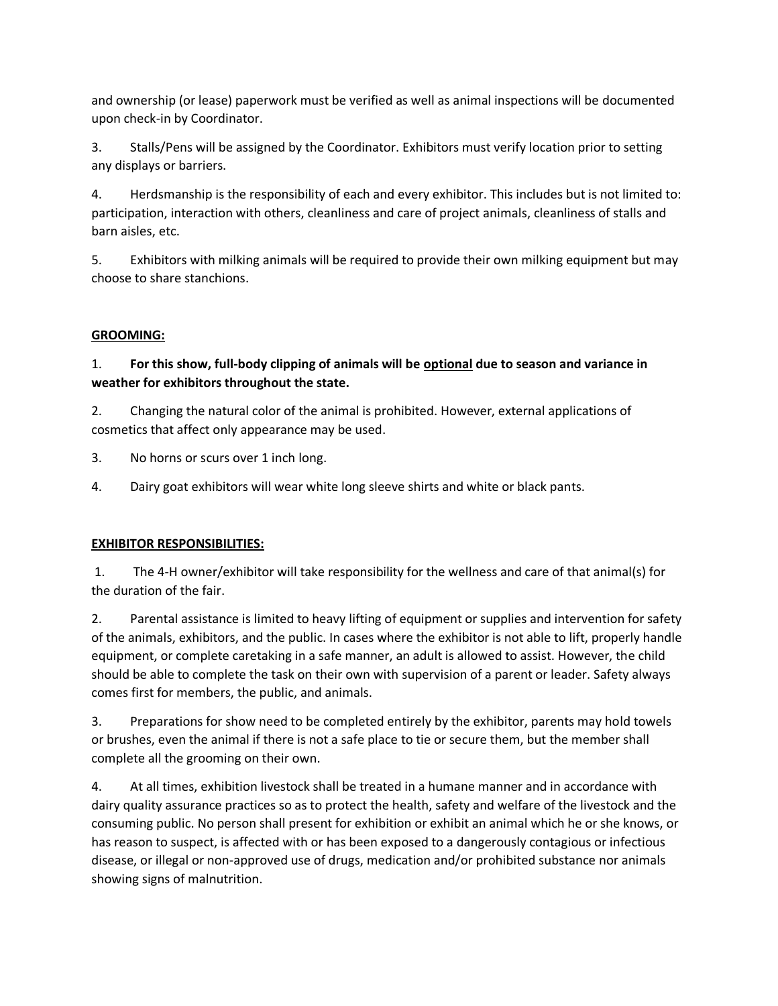and ownership (or lease) paperwork must be verified as well as animal inspections will be documented upon check-in by Coordinator.

3. Stalls/Pens will be assigned by the Coordinator. Exhibitors must verify location prior to setting any displays or barriers.

4. Herdsmanship is the responsibility of each and every exhibitor. This includes but is not limited to: participation, interaction with others, cleanliness and care of project animals, cleanliness of stalls and barn aisles, etc.

5. Exhibitors with milking animals will be required to provide their own milking equipment but may choose to share stanchions.

# **GROOMING:**

# 1. **For this show, full-body clipping of animals will be optional due to season and variance in weather for exhibitors throughout the state.**

2. Changing the natural color of the animal is prohibited. However, external applications of cosmetics that affect only appearance may be used.

3. No horns or scurs over 1 inch long.

4. Dairy goat exhibitors will wear white long sleeve shirts and white or black pants.

## **EXHIBITOR RESPONSIBILITIES:**

1. The 4-H owner/exhibitor will take responsibility for the wellness and care of that animal(s) for the duration of the fair.

2. Parental assistance is limited to heavy lifting of equipment or supplies and intervention for safety of the animals, exhibitors, and the public. In cases where the exhibitor is not able to lift, properly handle equipment, or complete caretaking in a safe manner, an adult is allowed to assist. However, the child should be able to complete the task on their own with supervision of a parent or leader. Safety always comes first for members, the public, and animals.

3. Preparations for show need to be completed entirely by the exhibitor, parents may hold towels or brushes, even the animal if there is not a safe place to tie or secure them, but the member shall complete all the grooming on their own.

4. At all times, exhibition livestock shall be treated in a humane manner and in accordance with dairy quality assurance practices so as to protect the health, safety and welfare of the livestock and the consuming public. No person shall present for exhibition or exhibit an animal which he or she knows, or has reason to suspect, is affected with or has been exposed to a dangerously contagious or infectious disease, or illegal or non-approved use of drugs, medication and/or prohibited substance nor animals showing signs of malnutrition.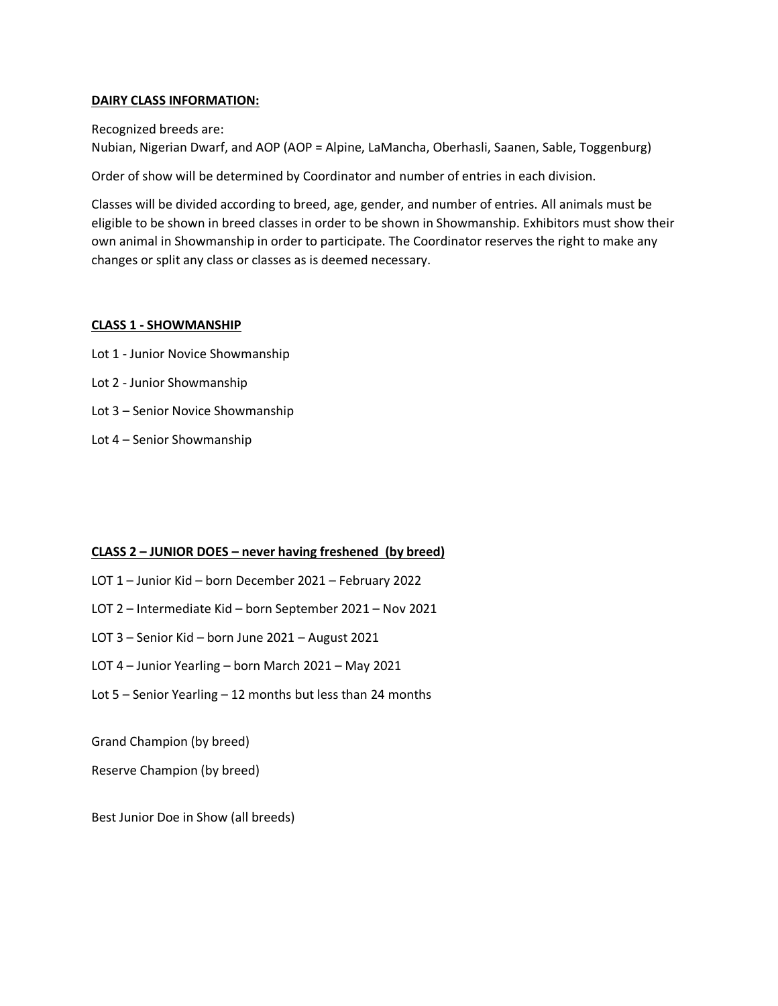### **DAIRY CLASS INFORMATION:**

Recognized breeds are:

Nubian, Nigerian Dwarf, and AOP (AOP = Alpine, LaMancha, Oberhasli, Saanen, Sable, Toggenburg)

Order of show will be determined by Coordinator and number of entries in each division.

Classes will be divided according to breed, age, gender, and number of entries. All animals must be eligible to be shown in breed classes in order to be shown in Showmanship. Exhibitors must show their own animal in Showmanship in order to participate. The Coordinator reserves the right to make any changes or split any class or classes as is deemed necessary.

#### **CLASS 1 - SHOWMANSHIP**

- Lot 1 Junior Novice Showmanship
- Lot 2 Junior Showmanship
- Lot 3 Senior Novice Showmanship
- Lot 4 Senior Showmanship

### **CLASS 2 – JUNIOR DOES – never having freshened (by breed)**

- LOT 1 Junior Kid born December 2021 February 2022
- LOT 2 Intermediate Kid born September 2021 Nov 2021
- LOT 3 Senior Kid born June 2021 August 2021
- LOT 4 Junior Yearling born March 2021 May 2021
- Lot 5 Senior Yearling 12 months but less than 24 months

Grand Champion (by breed)

Reserve Champion (by breed)

Best Junior Doe in Show (all breeds)